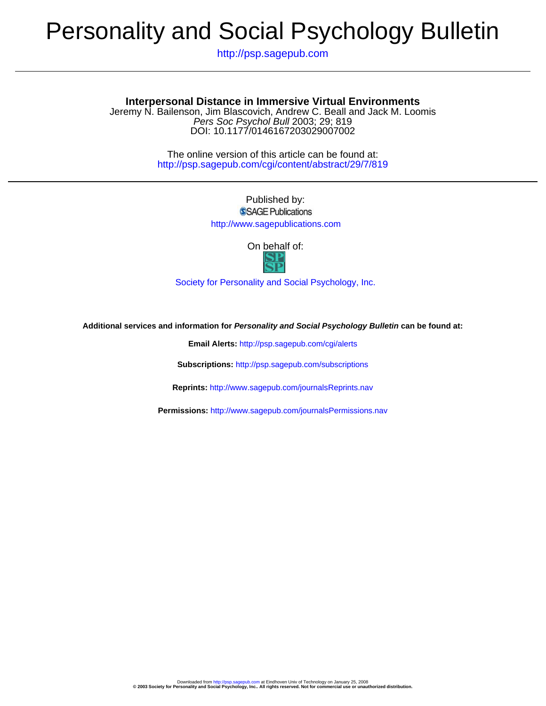# Personality and Social Psychology Bulletin

http://psp.sagepub.com

### **Interpersonal Distance in Immersive Virtual Environments**

DOI: 10.1177/0146167203029007002 Pers Soc Psychol Bull 2003; 29; 819 Jeremy N. Bailenson, Jim Blascovich, Andrew C. Beall and Jack M. Loomis

> http://psp.sagepub.com/cgi/content/abstract/29/7/819 The online version of this article can be found at:

> > Published by: SSAGE Publications

http://www.sagepublications.com

On behalf of:



[Society for Personality and Social Psychology, Inc.](http://www.spsp.org/)

**Additional services and information for Personality and Social Psychology Bulletin can be found at:**

**Email Alerts:** <http://psp.sagepub.com/cgi/alerts>

**Subscriptions:** <http://psp.sagepub.com/subscriptions>

**Reprints:** <http://www.sagepub.com/journalsReprints.nav>

**Permissions:** <http://www.sagepub.com/journalsPermissions.nav>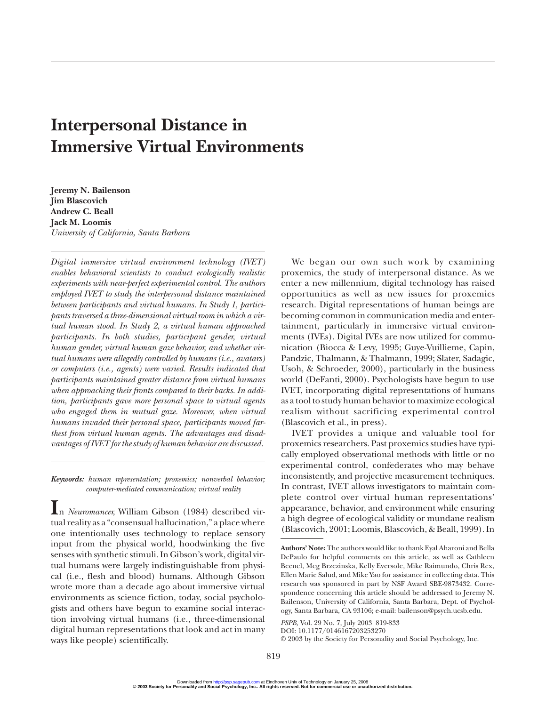## **Interpersonal Distance in Immersive Virtual Environments**

**Jeremy N. Bailenson Jim Blascovich Andrew C. Beall Jack M. Loomis** *University of California, Santa Barbara*

*Digital immersive virtual environment technology (IVET) enables behavioral scientists to conduct ecologically realistic experiments with near-perfect experimental control. The authors employed IVET to study the interpersonal distance maintained between participants and virtual humans. In Study 1, participants traversed a three-dimensional virtual room in which a virtual human stood. In Study 2, a virtual human approached participants. In both studies, participant gender, virtual human gender, virtual human gaze behavior, and whether virtual humans were allegedly controlled by humans (i.e., avatars) or computers (i.e., agents) were varied. Results indicated that participants maintained greater distance from virtual humans when approaching their fronts compared to their backs. In addition, participants gave more personal space to virtual agents who engaged them in mutual gaze. Moreover, when virtual humans invaded their personal space, participants moved farthest from virtual human agents. The advantages and disadvantages of IVET for the study of human behavior are discussed.*

*Keywords: human representation; proxemics; nonverbal behavior; computer-mediated communication; virtual reality*

**I**<sup>n</sup> *Neuromancer*, William Gibson (1984) described virtual reality as a "consensual hallucination," a place where one intentionally uses technology to replace sensory input from the physical world, hoodwinking the five senses with synthetic stimuli. In Gibson's work, digital virtual humans were largely indistinguishable from physical (i.e., flesh and blood) humans. Although Gibson wrote more than a decade ago about immersive virtual environments as science fiction, today, social psychologists and others have begun to examine social interaction involving virtual humans (i.e., three-dimensional digital human representations that look and act in many ways like people) scientifically.

We began our own such work by examining proxemics, the study of interpersonal distance. As we enter a new millennium, digital technology has raised opportunities as well as new issues for proxemics research. Digital representations of human beings are becoming common in communication media and entertainment, particularly in immersive virtual environments (IVEs). Digital IVEs are now utilized for communication (Biocca & Levy, 1995; Guye-Vuillieme, Capin, Pandzic, Thalmann, & Thalmann, 1999; Slater, Sadagic, Usoh, & Schroeder, 2000), particularly in the business world (DeFanti, 2000). Psychologists have begun to use IVET, incorporating digital representations of humans as a tool to study human behavior to maximize ecological realism without sacrificing experimental control (Blascovich et al., in press).

IVET provides a unique and valuable tool for proxemics researchers. Past proxemics studies have typically employed observational methods with little or no experimental control, confederates who may behave inconsistently, and projective measurement techniques. In contrast, IVET allows investigators to maintain complete control over virtual human representations' appearance, behavior, and environment while ensuring a high degree of ecological validity or mundane realism (Blascovich, 2001; Loomis, Blascovich, & Beall, 1999). In

*PSPB,* Vol. 29 No. 7, July 2003 819-833

DOI: 10.1177/0146167203253270

© 2003 by the Society for Personality and Social Psychology, Inc.

**Authors' Note:** The authors would like to thank Eyal Aharoni and Bella DePaulo for helpful comments on this article, as well as Cathleen Becnel, Meg Brzezinska, Kelly Eversole, Mike Raimundo, Chris Rex, Ellen Marie Salud, and Mike Yao for assistance in collecting data. This research was sponsored in part by NSF Award SBE-9873432. Correspondence concerning this article should be addressed to Jeremy N. Bailenson, University of California, Santa Barbara, Dept. of Psychology, Santa Barbara, CA 93106; e-mail: bailenson@psych.ucsb.edu.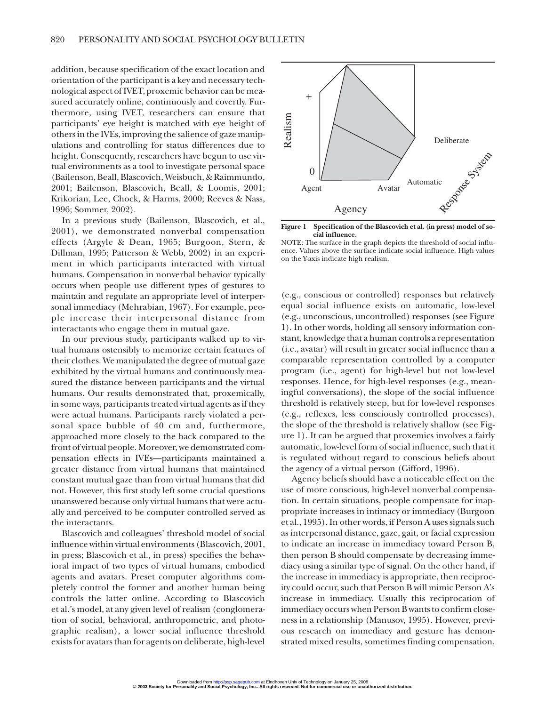addition, because specification of the exact location and orientation of the participant is a key and necessary technological aspect of IVET, proxemic behavior can be measured accurately online, continuously and covertly. Furthermore, using IVET, researchers can ensure that participants' eye height is matched with eye height of others in the IVEs, improving the salience of gaze manipulations and controlling for status differences due to height. Consequently, researchers have begun to use virtual environments as a tool to investigate personal space (Bailenson, Beall, Blascovich, Weisbuch, & Raimmundo, 2001; Bailenson, Blascovich, Beall, & Loomis, 2001; Krikorian, Lee, Chock, & Harms, 2000; Reeves & Nass, 1996; Sommer, 2002).

In a previous study (Bailenson, Blascovich, et al., 2001), we demonstrated nonverbal compensation effects (Argyle & Dean, 1965; Burgoon, Stern, & Dillman, 1995; Patterson & Webb, 2002) in an experiment in which participants interacted with virtual humans. Compensation in nonverbal behavior typically occurs when people use different types of gestures to maintain and regulate an appropriate level of interpersonal immediacy (Mehrabian, 1967). For example, people increase their interpersonal distance from interactants who engage them in mutual gaze.

In our previous study, participants walked up to virtual humans ostensibly to memorize certain features of their clothes. We manipulated the degree of mutual gaze exhibited by the virtual humans and continuously measured the distance between participants and the virtual humans. Our results demonstrated that, proxemically, in some ways, participants treated virtual agents as if they were actual humans. Participants rarely violated a personal space bubble of 40 cm and, furthermore, approached more closely to the back compared to the front of virtual people. Moreover, we demonstrated compensation effects in IVEs—participants maintained a greater distance from virtual humans that maintained constant mutual gaze than from virtual humans that did not. However, this first study left some crucial questions unanswered because only virtual humans that were actually and perceived to be computer controlled served as the interactants.

Blascovich and colleagues' threshold model of social influence within virtual environments (Blascovich, 2001, in press; Blascovich et al., in press) specifies the behavioral impact of two types of virtual humans, embodied agents and avatars. Preset computer algorithms completely control the former and another human being controls the latter online. According to Blascovich et al.'s model, at any given level of realism (conglomeration of social, behavioral, anthropometric, and photographic realism), a lower social influence threshold exists for avatars than for agents on deliberate, high-level



**Figure 1 Specification of the Blascovich et al. (in press) model of social influence.**

NOTE: The surface in the graph depicts the threshold of social influence. Values above the surface indicate social influence. High values on the Y-axis indicate high realism.

(e.g., conscious or controlled) responses but relatively equal social influence exists on automatic, low-level (e.g., unconscious, uncontrolled) responses (see Figure 1). In other words, holding all sensory information constant, knowledge that a human controls a representation (i.e., avatar) will result in greater social influence than a comparable representation controlled by a computer program (i.e., agent) for high-level but not low-level responses. Hence, for high-level responses (e.g., meaningful conversations), the slope of the social influence threshold is relatively steep, but for low-level responses (e.g., reflexes, less consciously controlled processes), the slope of the threshold is relatively shallow (see Figure 1). It can be argued that proxemics involves a fairly automatic, low-level form of social influence, such that it is regulated without regard to conscious beliefs about the agency of a virtual person (Gifford, 1996).

Agency beliefs should have a noticeable effect on the use of more conscious, high-level nonverbal compensation. In certain situations, people compensate for inappropriate increases in intimacy or immediacy (Burgoon et al., 1995). In other words, if Person A uses signals such as interpersonal distance, gaze, gait, or facial expression to indicate an increase in immediacy toward Person B, then person B should compensate by decreasing immediacy using a similar type of signal. On the other hand, if the increase in immediacy is appropriate, then reciprocity could occur, such that Person B will mimic Person A's increase in immediacy. Usually this reciprocation of immediacy occurs when Person B wants to confirm closeness in a relationship (Manusov, 1995). However, previous research on immediacy and gesture has demonstrated mixed results, sometimes finding compensation,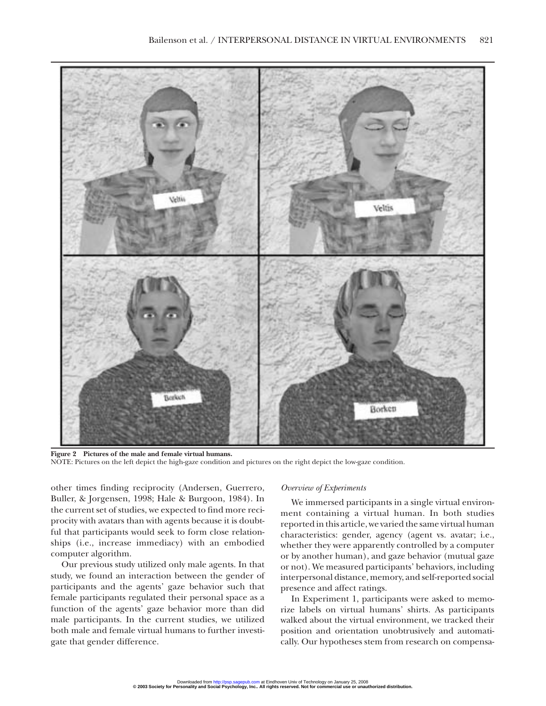

**Figure 2 Pictures of the male and female virtual humans.** NOTE: Pictures on the left depict the high-gaze condition and pictures on the right depict the low-gaze condition.

other times finding reciprocity (Andersen, Guerrero, Buller, & Jorgensen, 1998; Hale & Burgoon, 1984). In the current set of studies, we expected to find more reciprocity with avatars than with agents because it is doubtful that participants would seek to form close relationships (i.e., increase immediacy) with an embodied computer algorithm.

Our previous study utilized only male agents. In that study, we found an interaction between the gender of participants and the agents' gaze behavior such that female participants regulated their personal space as a function of the agents' gaze behavior more than did male participants. In the current studies, we utilized both male and female virtual humans to further investigate that gender difference.

#### *Overview of Experiments*

We immersed participants in a single virtual environment containing a virtual human. In both studies reported in this article, we varied the same virtual human characteristics: gender, agency (agent vs. avatar; i.e., whether they were apparently controlled by a computer or by another human), and gaze behavior (mutual gaze or not). We measured participants' behaviors, including interpersonal distance, memory, and self-reported social presence and affect ratings.

In Experiment 1, participants were asked to memorize labels on virtual humans' shirts. As participants walked about the virtual environment, we tracked their position and orientation unobtrusively and automatically. Our hypotheses stem from research on compensa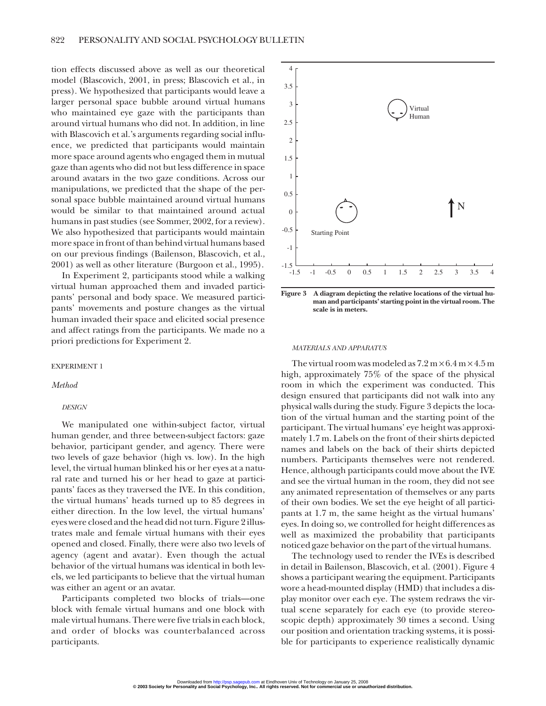tion effects discussed above as well as our theoretical model (Blascovich, 2001, in press; Blascovich et al., in press). We hypothesized that participants would leave a larger personal space bubble around virtual humans who maintained eye gaze with the participants than around virtual humans who did not. In addition, in line with Blascovich et al.'s arguments regarding social influence, we predicted that participants would maintain more space around agents who engaged them in mutual gaze than agents who did not but less difference in space around avatars in the two gaze conditions. Across our manipulations, we predicted that the shape of the personal space bubble maintained around virtual humans would be similar to that maintained around actual humans in past studies (see Sommer, 2002, for a review). We also hypothesized that participants would maintain more space in front of than behind virtual humans based on our previous findings (Bailenson, Blascovich, et al., 2001) as well as other literature (Burgoon et al., 1995).

In Experiment 2, participants stood while a walking virtual human approached them and invaded participants' personal and body space. We measured participants' movements and posture changes as the virtual human invaded their space and elicited social presence and affect ratings from the participants. We made no a priori predictions for Experiment 2.

#### EXPERIMENT 1

#### *Method*

#### *DESIGN*

We manipulated one within-subject factor, virtual human gender, and three between-subject factors: gaze behavior, participant gender, and agency. There were two levels of gaze behavior (high vs. low). In the high level, the virtual human blinked his or her eyes at a natural rate and turned his or her head to gaze at participants' faces as they traversed the IVE. In this condition, the virtual humans' heads turned up to 85 degrees in either direction. In the low level, the virtual humans' eyes were closed and the head did not turn. Figure 2 illustrates male and female virtual humans with their eyes opened and closed. Finally, there were also two levels of agency (agent and avatar). Even though the actual behavior of the virtual humans was identical in both levels, we led participants to believe that the virtual human was either an agent or an avatar.

Participants completed two blocks of trials—one block with female virtual humans and one block with male virtual humans. There were five trials in each block, and order of blocks was counterbalanced across participants.



**Figure 3 A diagram depicting the relative locations of the virtual human and participants' starting point in the virtual room. The scale is in meters.**

#### *MATERIALS AND APPARATUS*

The virtual room was modeled as  $7.2 \text{ m} \times 6.4 \text{ m} \times 4.5 \text{ m}$ high, approximately 75% of the space of the physical room in which the experiment was conducted. This design ensured that participants did not walk into any physical walls during the study. Figure 3 depicts the location of the virtual human and the starting point of the participant. The virtual humans' eye height was approximately 1.7 m. Labels on the front of their shirts depicted names and labels on the back of their shirts depicted numbers. Participants themselves were not rendered. Hence, although participants could move about the IVE and see the virtual human in the room, they did not see any animated representation of themselves or any parts of their own bodies. We set the eye height of all participants at 1.7 m, the same height as the virtual humans' eyes. In doing so, we controlled for height differences as well as maximized the probability that participants noticed gaze behavior on the part of the virtual humans.

The technology used to render the IVEs is described in detail in Bailenson, Blascovich, et al. (2001). Figure 4 shows a participant wearing the equipment. Participants wore a head-mounted display (HMD) that includes a display monitor over each eye. The system redraws the virtual scene separately for each eye (to provide stereoscopic depth) approximately 30 times a second. Using our position and orientation tracking systems, it is possible for participants to experience realistically dynamic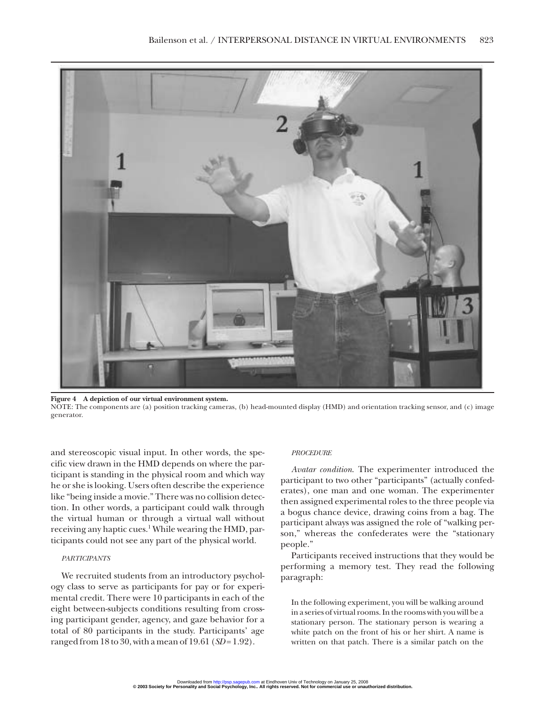

**Figure 4 A depiction of our virtual environment system.** NOTE: The components are (a) position tracking cameras, (b) head-mounted display (HMD) and orientation tracking sensor, and (c) image generator.

and stereoscopic visual input. In other words, the specific view drawn in the HMD depends on where the participant is standing in the physical room and which way he or she is looking. Users often describe the experience like "being inside a movie." There was no collision detection. In other words, a participant could walk through the virtual human or through a virtual wall without receiving any haptic cues.<sup>1</sup> While wearing the HMD, participants could not see any part of the physical world.

#### *PARTICIPANTS*

We recruited students from an introductory psychology class to serve as participants for pay or for experimental credit. There were 10 participants in each of the eight between-subjects conditions resulting from crossing participant gender, agency, and gaze behavior for a total of 80 participants in the study. Participants' age ranged from 18 to 30, with a mean of 19.61 (*SD*= 1.92).

#### *PROCEDURE*

*Avatar condition*. The experimenter introduced the participant to two other "participants" (actually confederates), one man and one woman. The experimenter then assigned experimental roles to the three people via a bogus chance device, drawing coins from a bag. The participant always was assigned the role of "walking person," whereas the confederates were the "stationary people."

Participants received instructions that they would be performing a memory test. They read the following paragraph:

In the following experiment, you will be walking around in a series of virtual rooms. In the rooms with you will be a stationary person. The stationary person is wearing a white patch on the front of his or her shirt. A name is written on that patch. There is a similar patch on the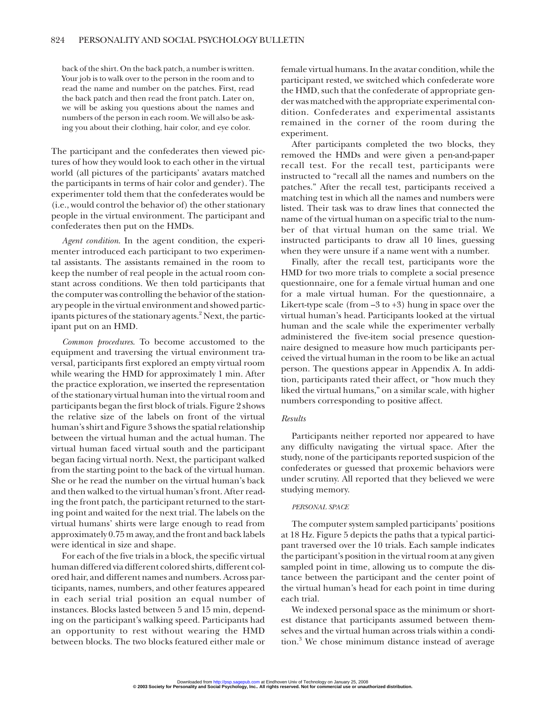back of the shirt. On the back patch, a number is written. Your job is to walk over to the person in the room and to read the name and number on the patches. First, read the back patch and then read the front patch. Later on, we will be asking you questions about the names and numbers of the person in each room. We will also be asking you about their clothing, hair color, and eye color.

The participant and the confederates then viewed pictures of how they would look to each other in the virtual world (all pictures of the participants' avatars matched the participants in terms of hair color and gender). The experimenter told them that the confederates would be (i.e., would control the behavior of) the other stationary people in the virtual environment. The participant and confederates then put on the HMDs.

*Agent condition*. In the agent condition, the experimenter introduced each participant to two experimental assistants. The assistants remained in the room to keep the number of real people in the actual room constant across conditions. We then told participants that the computer was controlling the behavior of the stationary people in the virtual environment and showed participants pictures of the stationary agents.<sup>2</sup> Next, the participant put on an HMD.

*Common procedures*. To become accustomed to the equipment and traversing the virtual environment traversal, participants first explored an empty virtual room while wearing the HMD for approximately 1 min. After the practice exploration, we inserted the representation of the stationary virtual human into the virtual room and participants began the first block of trials. Figure 2 shows the relative size of the labels on front of the virtual human's shirt and Figure 3 shows the spatial relationship between the virtual human and the actual human. The virtual human faced virtual south and the participant began facing virtual north. Next, the participant walked from the starting point to the back of the virtual human. She or he read the number on the virtual human's back and then walked to the virtual human's front. After reading the front patch, the participant returned to the starting point and waited for the next trial. The labels on the virtual humans' shirts were large enough to read from approximately 0.75 m away, and the front and back labels were identical in size and shape.

For each of the five trials in a block, the specific virtual human differed via different colored shirts, different colored hair, and different names and numbers. Across participants, names, numbers, and other features appeared in each serial trial position an equal number of instances. Blocks lasted between 5 and 15 min, depending on the participant's walking speed. Participants had an opportunity to rest without wearing the HMD between blocks. The two blocks featured either male or

female virtual humans. In the avatar condition, while the participant rested, we switched which confederate wore the HMD, such that the confederate of appropriate gender was matched with the appropriate experimental condition. Confederates and experimental assistants remained in the corner of the room during the experiment.

After participants completed the two blocks, they removed the HMDs and were given a pen-and-paper recall test. For the recall test, participants were instructed to "recall all the names and numbers on the patches." After the recall test, participants received a matching test in which all the names and numbers were listed. Their task was to draw lines that connected the name of the virtual human on a specific trial to the number of that virtual human on the same trial. We instructed participants to draw all 10 lines, guessing when they were unsure if a name went with a number.

Finally, after the recall test, participants wore the HMD for two more trials to complete a social presence questionnaire, one for a female virtual human and one for a male virtual human. For the questionnaire, a Likert-type scale (from  $-3$  to  $+3$ ) hung in space over the virtual human's head. Participants looked at the virtual human and the scale while the experimenter verbally administered the five-item social presence questionnaire designed to measure how much participants perceived the virtual human in the room to be like an actual person. The questions appear in Appendix A. In addition, participants rated their affect, or "how much they liked the virtual humans," on a similar scale, with higher numbers corresponding to positive affect.

#### *Results*

Participants neither reported nor appeared to have any difficulty navigating the virtual space. After the study, none of the participants reported suspicion of the confederates or guessed that proxemic behaviors were under scrutiny. All reported that they believed we were studying memory.

#### *PERSONAL SPACE*

The computer system sampled participants' positions at 18 Hz. Figure 5 depicts the paths that a typical participant traversed over the 10 trials. Each sample indicates the participant's position in the virtual room at any given sampled point in time, allowing us to compute the distance between the participant and the center point of the virtual human's head for each point in time during each trial.

We indexed personal space as the minimum or shortest distance that participants assumed between themselves and the virtual human across trials within a condition.<sup>3</sup> We chose minimum distance instead of average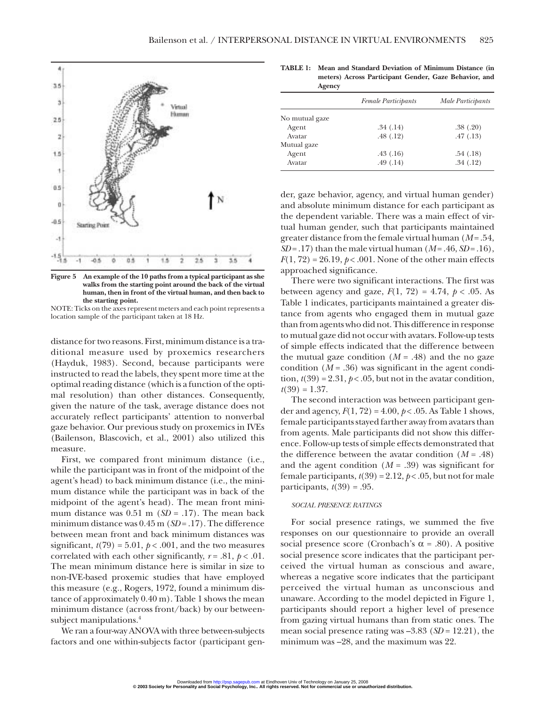

**Figure 5 An example of the 10 paths from a typical participant as she walks from the starting point around the back of the virtual human, then in front of the virtual human, and then back to the starting point.**

NOTE: Ticks on the axes represent meters and each point represents a location sample of the participant taken at 18 Hz.

distance for two reasons. First, minimum distance is a traditional measure used by proxemics researchers (Hayduk, 1983). Second, because participants were instructed to read the labels, they spent more time at the optimal reading distance (which is a function of the optimal resolution) than other distances. Consequently, given the nature of the task, average distance does not accurately reflect participants' attention to nonverbal gaze behavior. Our previous study on proxemics in IVEs (Bailenson, Blascovich, et al., 2001) also utilized this measure.

First, we compared front minimum distance (i.e., while the participant was in front of the midpoint of the agent's head) to back minimum distance (i.e., the minimum distance while the participant was in back of the midpoint of the agent's head). The mean front minimum distance was 0.51 m (*SD* = .17). The mean back minimum distance was 0.45 m (*SD* = .17). The difference between mean front and back minimum distances was significant,  $t(79) = 5.01$ ,  $p < .001$ , and the two measures correlated with each other significantly,  $r = .81$ ,  $p < .01$ . The mean minimum distance here is similar in size to non-IVE-based proxemic studies that have employed this measure (e.g., Rogers, 1972, found a minimum distance of approximately 0.40 m). Table 1 shows the mean minimum distance (across front/back) by our betweensubject manipulations.<sup>4</sup>

We ran a four-way ANOVA with three between-subjects factors and one within-subjects factor (participant gen-

**TABLE 1: Mean and Standard Deviation of Minimum Distance (in meters) Across Participant Gender, Gaze Behavior, and Agency**

| -- <del>-</del> ---- |                            |                   |
|----------------------|----------------------------|-------------------|
|                      | <b>Female Participants</b> | Male Participants |
| No mutual gaze       |                            |                   |
| Agent                | .34( .14)                  | .38(.20)          |
| Avatar               | .48(.12)                   | .47(.13)          |
| Mutual gaze          |                            |                   |
| Agent                | .43(.16)                   | .54(.18)          |
| Avatar               | .49(0.14)                  | .34(.12)          |

der, gaze behavior, agency, and virtual human gender) and absolute minimum distance for each participant as the dependent variable. There was a main effect of virtual human gender, such that participants maintained greater distance from the female virtual human (*M* = .54,  $SD = .17$ ) than the male virtual human ( $M = .46$ ,  $SD = .16$ ),  $F(1, 72) = 26.19$ ,  $p < .001$ . None of the other main effects approached significance.

There were two significant interactions. The first was between agency and gaze,  $F(1, 72) = 4.74$ ,  $p < .05$ . As Table 1 indicates, participants maintained a greater distance from agents who engaged them in mutual gaze than from agents who did not. This difference in response to mutual gaze did not occur with avatars. Follow-up tests of simple effects indicated that the difference between the mutual gaze condition  $(M = .48)$  and the no gaze condition  $(M = .36)$  was significant in the agent condition,  $t(39) = 2.31$ ,  $p < .05$ , but not in the avatar condition,  $t(39) = 1.37$ .

The second interaction was between participant gender and agency,  $F(1, 72) = 4.00$ ,  $p < .05$ . As Table 1 shows, female participants stayed farther away from avatars than from agents. Male participants did not show this difference. Follow-up tests of simple effects demonstrated that the difference between the avatar condition  $(M = .48)$ and the agent condition  $(M = .39)$  was significant for female participants,  $t(39) = 2.12$ ,  $p < .05$ , but not for male participants,  $t(39) = .95$ .

#### *SOCIAL PRESENCE RATINGS*

For social presence ratings, we summed the five responses on our questionnaire to provide an overall social presence score (Cronbach's  $\alpha$  = .80). A positive social presence score indicates that the participant perceived the virtual human as conscious and aware, whereas a negative score indicates that the participant perceived the virtual human as unconscious and unaware. According to the model depicted in Figure 1, participants should report a higher level of presence from gazing virtual humans than from static ones. The mean social presence rating was –3.83 (*SD* = 12.21), the minimum was –28, and the maximum was 22.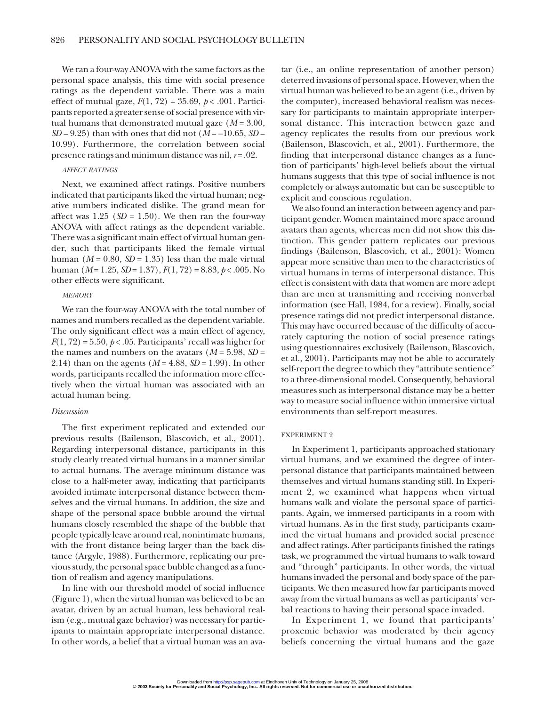We ran a four-way ANOVA with the same factors as the personal space analysis, this time with social presence ratings as the dependent variable. There was a main effect of mutual gaze, *F*(1, 72) = 35.69, *p* < .001. Participants reported a greater sense of social presence with virtual humans that demonstrated mutual gaze (*M* = 3.00,  $SD = 9.25$ ) than with ones that did not ( $M = -10.65$ ,  $SD =$ 10.99). Furthermore, the correlation between social presence ratings and minimum distance was nil,*r* = .02.

#### *AFFECT RATINGS*

Next, we examined affect ratings. Positive numbers indicated that participants liked the virtual human; negative numbers indicated dislike. The grand mean for affect was  $1.25$  (*SD* = 1.50). We then ran the four-way ANOVA with affect ratings as the dependent variable. There was a significant main effect of virtual human gender, such that participants liked the female virtual human  $(M = 0.80, SD = 1.35)$  less than the male virtual human (*M* = 1.25, *SD* = 1.37), *F*(1, 72) = 8.83, *p* < .005. No other effects were significant.

#### *MEMORY*

We ran the four-way ANOVA with the total number of names and numbers recalled as the dependent variable. The only significant effect was a main effect of agency,  $F(1, 72) = 5.50$ ,  $p < .05$ . Participants' recall was higher for the names and numbers on the avatars  $(M = 5.98, SD =$ 2.14) than on the agents (*M* = 4.88, *SD* = 1.99). In other words, participants recalled the information more effectively when the virtual human was associated with an actual human being.

#### *Discussion*

The first experiment replicated and extended our previous results (Bailenson, Blascovich, et al., 2001). Regarding interpersonal distance, participants in this study clearly treated virtual humans in a manner similar to actual humans. The average minimum distance was close to a half-meter away, indicating that participants avoided intimate interpersonal distance between themselves and the virtual humans. In addition, the size and shape of the personal space bubble around the virtual humans closely resembled the shape of the bubble that people typically leave around real, nonintimate humans, with the front distance being larger than the back distance (Argyle, 1988). Furthermore, replicating our previous study, the personal space bubble changed as a function of realism and agency manipulations.

In line with our threshold model of social influence (Figure 1), when the virtual human was believed to be an avatar, driven by an actual human, less behavioral realism (e.g., mutual gaze behavior) was necessary for participants to maintain appropriate interpersonal distance. In other words, a belief that a virtual human was an avatar (i.e., an online representation of another person) deterred invasions of personal space. However, when the virtual human was believed to be an agent (i.e., driven by the computer), increased behavioral realism was necessary for participants to maintain appropriate interpersonal distance. This interaction between gaze and agency replicates the results from our previous work (Bailenson, Blascovich, et al., 2001). Furthermore, the finding that interpersonal distance changes as a function of participants' high-level beliefs about the virtual humans suggests that this type of social influence is not completely or always automatic but can be susceptible to explicit and conscious regulation.

We also found an interaction between agency and participant gender. Women maintained more space around avatars than agents, whereas men did not show this distinction. This gender pattern replicates our previous findings (Bailenson, Blascovich, et al., 2001): Women appear more sensitive than men to the characteristics of virtual humans in terms of interpersonal distance. This effect is consistent with data that women are more adept than are men at transmitting and receiving nonverbal information (see Hall, 1984, for a review). Finally, social presence ratings did not predict interpersonal distance. This may have occurred because of the difficulty of accurately capturing the notion of social presence ratings using questionnaires exclusively (Bailenson, Blascovich, et al., 2001). Participants may not be able to accurately self-report the degree to which they "attribute sentience" to a three-dimensional model. Consequently, behavioral measures such as interpersonal distance may be a better way to measure social influence within immersive virtual environments than self-report measures.

#### EXPERIMENT 2

In Experiment 1, participants approached stationary virtual humans, and we examined the degree of interpersonal distance that participants maintained between themselves and virtual humans standing still. In Experiment 2, we examined what happens when virtual humans walk and violate the personal space of participants. Again, we immersed participants in a room with virtual humans. As in the first study, participants examined the virtual humans and provided social presence and affect ratings. After participants finished the ratings task, we programmed the virtual humans to walk toward and "through" participants. In other words, the virtual humans invaded the personal and body space of the participants. We then measured how far participants moved away from the virtual humans as well as participants' verbal reactions to having their personal space invaded.

In Experiment 1, we found that participants' proxemic behavior was moderated by their agency beliefs concerning the virtual humans and the gaze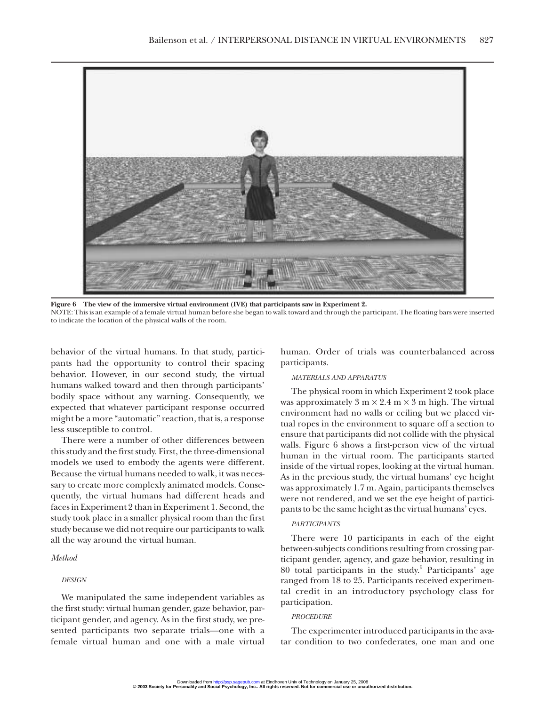

**Figure 6 The view of the immersive virtual environment (IVE) that participants saw in Experiment 2.** NOTE: This is an example of a female virtual human before she began to walk toward and through the participant. The floating bars were inserted to indicate the location of the physical walls of the room.

behavior of the virtual humans. In that study, participants had the opportunity to control their spacing behavior. However, in our second study, the virtual humans walked toward and then through participants' bodily space without any warning. Consequently, we expected that whatever participant response occurred might be a more "automatic" reaction, that is, a response less susceptible to control.

There were a number of other differences between this study and the first study. First, the three-dimensional models we used to embody the agents were different. Because the virtual humans needed to walk, it was necessary to create more complexly animated models. Consequently, the virtual humans had different heads and faces in Experiment 2 than in Experiment 1. Second, the study took place in a smaller physical room than the first study because we did not require our participants to walk all the way around the virtual human.

#### *Method*

#### *DESIGN*

We manipulated the same independent variables as the first study: virtual human gender, gaze behavior, participant gender, and agency. As in the first study, we presented participants two separate trials—one with a female virtual human and one with a male virtual human. Order of trials was counterbalanced across participants.

#### *MATERIALS AND APPARATUS*

The physical room in which Experiment 2 took place was approximately  $3 \text{ m} \times 2.4 \text{ m} \times 3 \text{ m}$  high. The virtual environment had no walls or ceiling but we placed virtual ropes in the environment to square off a section to ensure that participants did not collide with the physical walls. Figure 6 shows a first-person view of the virtual human in the virtual room. The participants started inside of the virtual ropes, looking at the virtual human. As in the previous study, the virtual humans' eye height was approximately 1.7 m. Again, participants themselves were not rendered, and we set the eye height of participants to be the same height as the virtual humans' eyes.

#### *PARTICIPANTS*

There were 10 participants in each of the eight between-subjects conditions resulting from crossing participant gender, agency, and gaze behavior, resulting in 80 total participants in the study.<sup>5</sup> Participants' age ranged from 18 to 25. Participants received experimental credit in an introductory psychology class for participation.

#### *PROCEDURE*

The experimenter introduced participants in the avatar condition to two confederates, one man and one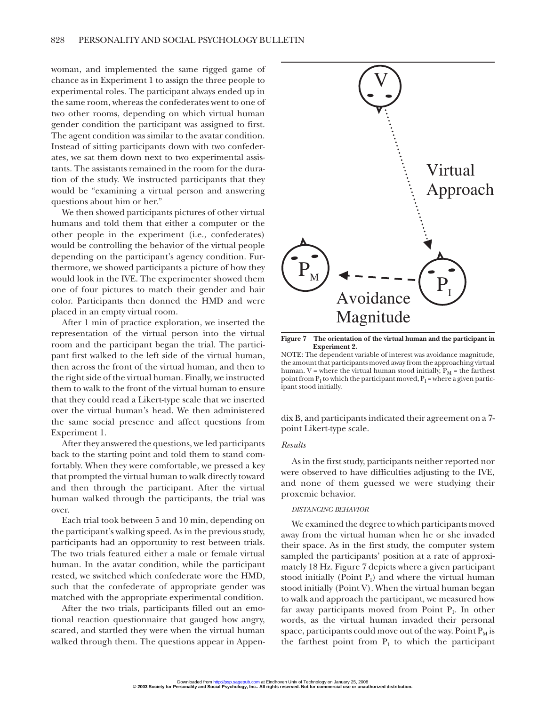woman, and implemented the same rigged game of chance as in Experiment 1 to assign the three people to experimental roles. The participant always ended up in the same room, whereas the confederates went to one of two other rooms, depending on which virtual human gender condition the participant was assigned to first. The agent condition was similar to the avatar condition. Instead of sitting participants down with two confederates, we sat them down next to two experimental assistants. The assistants remained in the room for the duration of the study. We instructed participants that they would be "examining a virtual person and answering questions about him or her."

We then showed participants pictures of other virtual humans and told them that either a computer or the other people in the experiment (i.e., confederates) would be controlling the behavior of the virtual people depending on the participant's agency condition. Furthermore, we showed participants a picture of how they would look in the IVE. The experimenter showed them one of four pictures to match their gender and hair color. Participants then donned the HMD and were placed in an empty virtual room.

After 1 min of practice exploration, we inserted the representation of the virtual person into the virtual room and the participant began the trial. The participant first walked to the left side of the virtual human, then across the front of the virtual human, and then to the right side of the virtual human. Finally, we instructed them to walk to the front of the virtual human to ensure that they could read a Likert-type scale that we inserted over the virtual human's head. We then administered the same social presence and affect questions from Experiment 1.

After they answered the questions, we led participants back to the starting point and told them to stand comfortably. When they were comfortable, we pressed a key that prompted the virtual human to walk directly toward and then through the participant. After the virtual human walked through the participants, the trial was over.

Each trial took between 5 and 10 min, depending on the participant's walking speed. As in the previous study, participants had an opportunity to rest between trials. The two trials featured either a male or female virtual human. In the avatar condition, while the participant rested, we switched which confederate wore the HMD, such that the confederate of appropriate gender was matched with the appropriate experimental condition.

After the two trials, participants filled out an emotional reaction questionnaire that gauged how angry, scared, and startled they were when the virtual human walked through them. The questions appear in Appen-



**Figure 7 The orientation of the virtual human and the participant in Experiment 2.**

NOTE: The dependent variable of interest was avoidance magnitude, the amount that participants moved away from the approaching virtual human. V = where the virtual human stood initially,  $P_M$  = the farthest point from  $P_1$  to which the participant moved,  $P_1$  = where a given participant stood initially.

dix B, and participants indicated their agreement on a 7 point Likert-type scale.

#### *Results*

As in the first study, participants neither reported nor were observed to have difficulties adjusting to the IVE, and none of them guessed we were studying their proxemic behavior.

#### *DISTANCING BEHAVIOR*

We examined the degree to which participants moved away from the virtual human when he or she invaded their space. As in the first study, the computer system sampled the participants' position at a rate of approximately 18 Hz. Figure 7 depicts where a given participant stood initially (Point  $P<sub>I</sub>$ ) and where the virtual human stood initially (Point V). When the virtual human began to walk and approach the participant, we measured how far away participants moved from Point  $P<sub>I</sub>$ . In other words, as the virtual human invaded their personal space, participants could move out of the way. Point  $P_M$  is the farthest point from  $P<sub>I</sub>$  to which the participant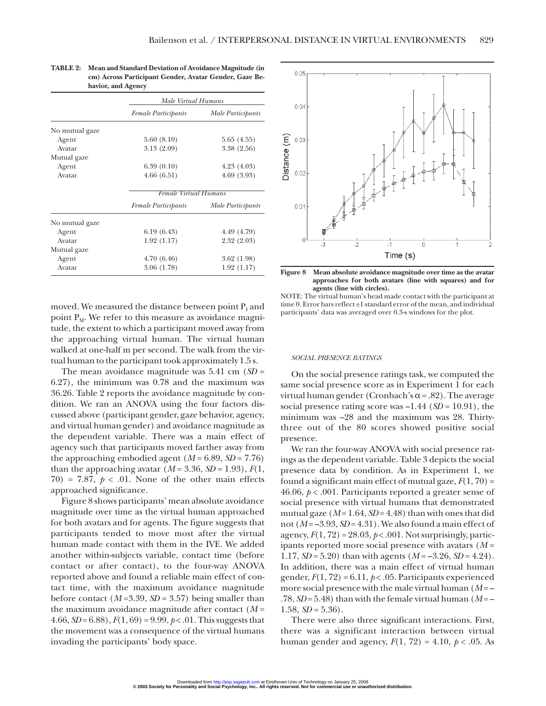|                | Male Virtual Humans        |                   |
|----------------|----------------------------|-------------------|
|                | <i>Female Participants</i> | Male Participants |
| No mutual gaze |                            |                   |
| Agent          | 5.60(8.10)                 | 5.65(4.55)        |
| Avatar         | 3.13(2.09)                 | 3.38 (2.56)       |
| Mutual gaze    |                            |                   |
| Agent          | 6.39(0.10)                 | 4.23(4.03)        |
| Avatar         | 4.66(6.51)                 | 4.69(3.93)        |
|                | Female Virtual Humans      |                   |
|                | <i>Female Participants</i> | Male Participants |
| No mutual gaze |                            |                   |
| Agent          | 6.19(6.43)                 | 4.49 (4.79)       |
| Avatar         | 1.92(1.17)                 | 2.32(2.03)        |
| Mutual gaze    |                            |                   |
| Agent          | 4.70(6.46)                 | 3.62(1.98)        |
| Avatar         | 3.06 (1.78)                | 1.92(1.17)        |

**TABLE 2: Mean and Standard Deviation of Avoidance Magnitude (in cm) Across Participant Gender, Avatar Gender, Gaze Behavior, and Agency**

moved. We measured the distance between point  $P<sub>I</sub>$  and point  $P_M$ . We refer to this measure as avoidance magnitude, the extent to which a participant moved away from the approaching virtual human. The virtual human walked at one-half m per second. The walk from the virtual human to the participant took approximately 1.5 s.

The mean avoidance magnitude was 5.41 cm (*SD* = 6.27), the minimum was 0.78 and the maximum was 36.26. Table 2 reports the avoidance magnitude by condition. We ran an ANOVA using the four factors discussed above (participant gender, gaze behavior, agency, and virtual human gender) and avoidance magnitude as the dependent variable. There was a main effect of agency such that participants moved farther away from the approaching embodied agent  $(M = 6.89, SD = 7.76)$ than the approaching avatar  $(M = 3.36, SD = 1.93)$ ,  $F(1,$ 70) = 7.87,  $p < .01$ . None of the other main effects approached significance.

Figure 8 shows participants' mean absolute avoidance magnitude over time as the virtual human approached for both avatars and for agents. The figure suggests that participants tended to move most after the virtual human made contact with them in the IVE. We added another within-subjects variable, contact time (before contact or after contact), to the four-way ANOVA reported above and found a reliable main effect of contact time, with the maximum avoidance magnitude before contact  $(M=3.39, SD=3.57)$  being smaller than the maximum avoidance magnitude after contact (*M* = 4.66,  $SD = 6.88$ ),  $F(1, 69) = 9.99$ ,  $p < .01$ . This suggests that the movement was a consequence of the virtual humans invading the participants' body space.



Figure 8 Mean absolute avoidance magnitude over time as the avatar **approaches for both avatars (line with squares) and for agents (line with circles).**

NOTE: The virtual human's head made contact with the participant at time 0. Error bars reflect ±1 standard error of the mean, and individual participants' data was averaged over 0.3-s windows for the plot.

#### *SOCIAL PRESENCE RATINGS*

On the social presence ratings task, we computed the same social presence score as in Experiment 1 for each virtual human gender (Cronbach's  $\alpha$  = .82). The average social presence rating score was –1.44 (*SD* = 10.91), the minimum was –28 and the maximum was 28. Thirtythree out of the 80 scores showed positive social presence.

We ran the four-way ANOVA with social presence ratings as the dependent variable. Table 3 depicts the social presence data by condition. As in Experiment 1, we found a significant main effect of mutual gaze,  $F(1, 70)$  = 46.06, *p* < .001. Participants reported a greater sense of social presence with virtual humans that demonstrated mutual gaze  $(M=1.64, SD=4.48)$  than with ones that did not  $(M=-3.93, SD=4.31)$ . We also found a main effect of agency,  $F(1, 72) = 28.03$ ,  $p < .001$ . Not surprisingly, participants reported more social presence with avatars (*M* = 1.17,  $SD = 5.20$ ) than with agents  $(M = -3.26, SD = 4.24)$ . In addition, there was a main effect of virtual human gender,  $F(1, 72) = 6.11$ ,  $p < .05$ . Participants experienced more social presence with the male virtual human (*M* = – .78,  $SD = 5.48$ ) than with the female virtual human ( $M = -$ 1.58,  $SD = 5.36$ ).

There were also three significant interactions. First, there was a significant interaction between virtual human gender and agency,  $F(1, 72) = 4.10, p < .05$ . As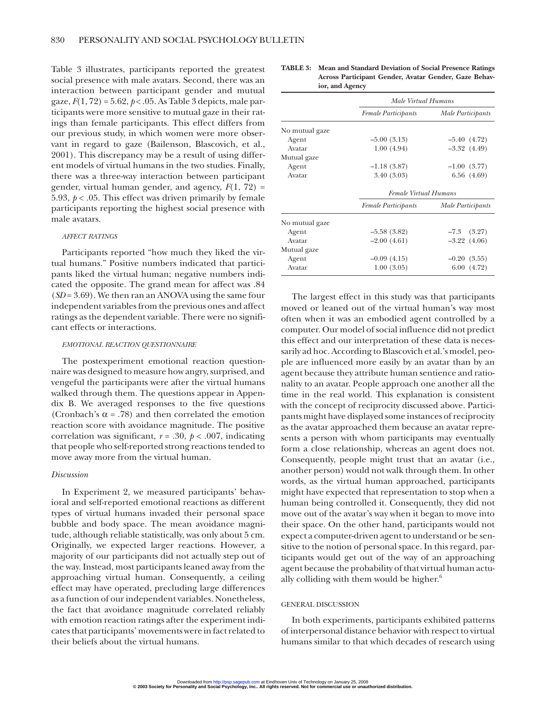Table 3 illustrates, participants reported the greatest social presence with male avatars. Second, there was an interaction between participant gender and mutual gaze, *F*(1, 72) = 5.62, *p* < .05. As Table 3 depicts, male participants were more sensitive to mutual gaze in their ratings than female participants. This effect differs from our previous study, in which women were more observant in regard to gaze (Bailenson, Blascovich, et al., 2001). This discrepancy may be a result of using different models of virtual humans in the two studies. Finally, there was a three-way interaction between participant gender, virtual human gender, and agency,  $F(1, 72) =$ 5.93,  $p < 0.05$ . This effect was driven primarily by female participants reporting the highest social presence with male avatars.

#### *AFFECT RATINGS*

Participants reported "how much they liked the virtual humans." Positive numbers indicated that participants liked the virtual human; negative numbers indicated the opposite. The grand mean for affect was .84 (*SD* = 3.69). We then ran an ANOVA using the same four independent variables from the previous ones and affect ratings as the dependent variable. There were no significant effects or interactions.

#### *EMOTIONAL REACTION QUESTIONNAIRE*

The postexperiment emotional reaction questionnaire was designed to measure how angry, surprised, and vengeful the participants were after the virtual humans walked through them. The questions appear in Appendix B. We averaged responses to the five questions (Cronbach's  $\alpha$  = .78) and then correlated the emotion reaction score with avoidance magnitude. The positive correlation was significant,  $r = .30$ ,  $p < .007$ , indicating that people who self-reported strong reactions tended to move away more from the virtual human.

#### *Discussion*

In Experiment 2, we measured participants' behavioral and self-reported emotional reactions as different types of virtual humans invaded their personal space bubble and body space. The mean avoidance magnitude, although reliable statistically, was only about 5 cm. Originally, we expected larger reactions. However, a majority of our participants did not actually step out of the way. Instead, most participants leaned away from the approaching virtual human. Consequently, a ceiling effect may have operated, precluding large differences as a function of our independent variables. Nonetheless, the fact that avoidance magnitude correlated reliably with emotion reaction ratings after the experiment indicates that participants' movements were in fact related to their beliefs about the virtual humans.

| <b>TABLE 3:</b> | Mean and Standard Deviation of Social Presence Ratings |  |  |
|-----------------|--------------------------------------------------------|--|--|
|                 | Across Participant Gender, Avatar Gender, Gaze Behav-  |  |  |
|                 | ior, and Agency                                        |  |  |

|                | Male Virtual Humans          |                   |  |
|----------------|------------------------------|-------------------|--|
|                | <i>Female Participants</i>   | Male Participants |  |
| No mutual gaze |                              |                   |  |
| Agent          | $-5.00(3.13)$                | $-5.40(4.72)$     |  |
| Avatar         | 1.00(4.94)                   | $-3.32(4.49)$     |  |
| Mutual gaze    |                              |                   |  |
| Agent          | $-1.18(3.87)$                | $-1.00(3.77)$     |  |
| Avatar         | 3.40(3.03)                   | 6.56(4.69)        |  |
|                | <b>Female Virtual Humans</b> |                   |  |
|                | <i>Female Participants</i>   | Male Participants |  |
| No mutual gaze |                              |                   |  |
| Agent          | $-5.58(3.82)$                | $-7.3$ $(3.27)$   |  |
| Avatar         | $-2.00(4.61)$                | $-3.22(4.06)$     |  |
| Mutual gaze    |                              |                   |  |
| Agent          | $-0.09(4.15)$                | $-0.20(3.55)$     |  |
| Avatar         | 1.00(3.05)                   | 6.00(4.72)        |  |

The largest effect in this study was that participants moved or leaned out of the virtual human's way most often when it was an embodied agent controlled by a computer. Our model of social influence did not predict this effect and our interpretation of these data is necessarily ad hoc. According to Blascovich et al.'s model, people are influenced more easily by an avatar than by an agent because they attribute human sentience and rationality to an avatar. People approach one another all the time in the real world. This explanation is consistent with the concept of reciprocity discussed above. Participants might have displayed some instances of reciprocity as the avatar approached them because an avatar represents a person with whom participants may eventually form a close relationship, whereas an agent does not. Consequently, people might trust that an avatar (i.e., another person) would not walk through them. In other words, as the virtual human approached, participants might have expected that representation to stop when a human being controlled it. Consequently, they did not move out of the avatar's way when it began to move into their space. On the other hand, participants would not expect a computer-driven agent to understand or be sensitive to the notion of personal space. In this regard, participants would get out of the way of an approaching agent because the probability of that virtual human actually colliding with them would be higher. $6$ 

#### GENERAL DISCUSSION

In both experiments, participants exhibited patterns of interpersonal distance behavior with respect to virtual humans similar to that which decades of research using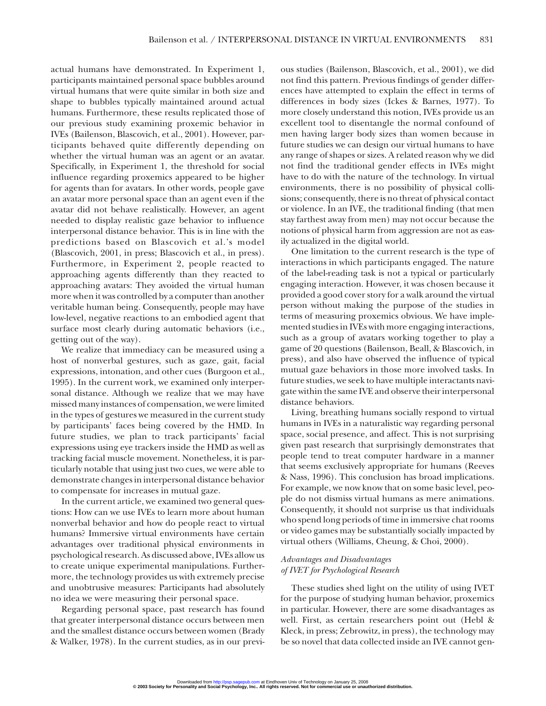actual humans have demonstrated. In Experiment 1, participants maintained personal space bubbles around virtual humans that were quite similar in both size and shape to bubbles typically maintained around actual humans. Furthermore, these results replicated those of our previous study examining proxemic behavior in IVEs (Bailenson, Blascovich, et al., 2001). However, participants behaved quite differently depending on whether the virtual human was an agent or an avatar. Specifically, in Experiment 1, the threshold for social influence regarding proxemics appeared to be higher for agents than for avatars. In other words, people gave an avatar more personal space than an agent even if the avatar did not behave realistically. However, an agent needed to display realistic gaze behavior to influence interpersonal distance behavior. This is in line with the predictions based on Blascovich et al.'s model (Blascovich, 2001, in press; Blascovich et al., in press). Furthermore, in Experiment 2, people reacted to approaching agents differently than they reacted to approaching avatars: They avoided the virtual human more when it was controlled by a computer than another veritable human being. Consequently, people may have low-level, negative reactions to an embodied agent that surface most clearly during automatic behaviors (i.e., getting out of the way).

We realize that immediacy can be measured using a host of nonverbal gestures, such as gaze, gait, facial expressions, intonation, and other cues (Burgoon et al., 1995). In the current work, we examined only interpersonal distance. Although we realize that we may have missed many instances of compensation, we were limited in the types of gestures we measured in the current study by participants' faces being covered by the HMD. In future studies, we plan to track participants' facial expressions using eye trackers inside the HMD as well as tracking facial muscle movement. Nonetheless, it is particularly notable that using just two cues, we were able to demonstrate changes in interpersonal distance behavior to compensate for increases in mutual gaze.

In the current article, we examined two general questions: How can we use IVEs to learn more about human nonverbal behavior and how do people react to virtual humans? Immersive virtual environments have certain advantages over traditional physical environments in psychological research. As discussed above, IVEs allow us to create unique experimental manipulations. Furthermore, the technology provides us with extremely precise and unobtrusive measures: Participants had absolutely no idea we were measuring their personal space.

Regarding personal space, past research has found that greater interpersonal distance occurs between men and the smallest distance occurs between women (Brady & Walker, 1978). In the current studies, as in our previous studies (Bailenson, Blascovich, et al., 2001), we did not find this pattern. Previous findings of gender differences have attempted to explain the effect in terms of differences in body sizes (Ickes & Barnes, 1977). To more closely understand this notion, IVEs provide us an excellent tool to disentangle the normal confound of men having larger body sizes than women because in future studies we can design our virtual humans to have any range of shapes or sizes. A related reason why we did not find the traditional gender effects in IVEs might have to do with the nature of the technology. In virtual environments, there is no possibility of physical collisions; consequently, there is no threat of physical contact or violence. In an IVE, the traditional finding (that men stay farthest away from men) may not occur because the notions of physical harm from aggression are not as easily actualized in the digital world.

One limitation to the current research is the type of interactions in which participants engaged. The nature of the label-reading task is not a typical or particularly engaging interaction. However, it was chosen because it provided a good cover story for a walk around the virtual person without making the purpose of the studies in terms of measuring proxemics obvious. We have implemented studies in IVEs with more engaging interactions, such as a group of avatars working together to play a game of 20 questions (Bailenson, Beall, & Blascovich, in press), and also have observed the influence of typical mutual gaze behaviors in those more involved tasks. In future studies, we seek to have multiple interactants navigate within the same IVE and observe their interpersonal distance behaviors.

Living, breathing humans socially respond to virtual humans in IVEs in a naturalistic way regarding personal space, social presence, and affect. This is not surprising given past research that surprisingly demonstrates that people tend to treat computer hardware in a manner that seems exclusively appropriate for humans (Reeves & Nass, 1996). This conclusion has broad implications. For example, we now know that on some basic level, people do not dismiss virtual humans as mere animations. Consequently, it should not surprise us that individuals who spend long periods of time in immersive chat rooms or video games may be substantially socially impacted by virtual others (Williams, Cheung, & Choi, 2000).

#### *Advantages and Disadvantages of IVET for Psychological Research*

These studies shed light on the utility of using IVET for the purpose of studying human behavior, proxemics in particular. However, there are some disadvantages as well. First, as certain researchers point out (Hebl & Kleck, in press; Zebrowitz, in press), the technology may be so novel that data collected inside an IVE cannot gen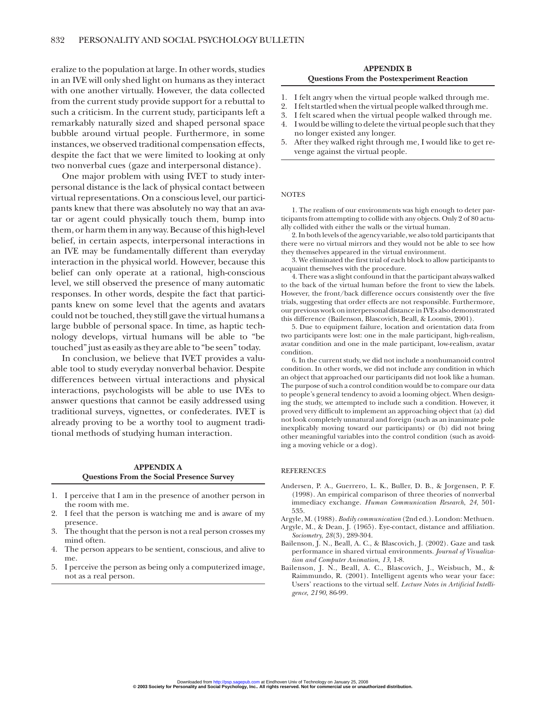eralize to the population at large. In other words, studies in an IVE will only shed light on humans as they interact with one another virtually. However, the data collected from the current study provide support for a rebuttal to such a criticism. In the current study, participants left a remarkably naturally sized and shaped personal space bubble around virtual people. Furthermore, in some instances, we observed traditional compensation effects, despite the fact that we were limited to looking at only two nonverbal cues (gaze and interpersonal distance).

One major problem with using IVET to study interpersonal distance is the lack of physical contact between virtual representations. On a conscious level, our participants knew that there was absolutely no way that an avatar or agent could physically touch them, bump into them, or harm them in any way. Because of this high-level belief, in certain aspects, interpersonal interactions in an IVE may be fundamentally different than everyday interaction in the physical world. However, because this belief can only operate at a rational, high-conscious level, we still observed the presence of many automatic responses. In other words, despite the fact that participants knew on some level that the agents and avatars could not be touched, they still gave the virtual humans a large bubble of personal space. In time, as haptic technology develops, virtual humans will be able to "be touched" just as easily as they are able to "be seen" today.

In conclusion, we believe that IVET provides a valuable tool to study everyday nonverbal behavior. Despite differences between virtual interactions and physical interactions, psychologists will be able to use IVEs to answer questions that cannot be easily addressed using traditional surveys, vignettes, or confederates. IVET is already proving to be a worthy tool to augment traditional methods of studying human interaction.

#### **APPENDIX A Questions From the Social Presence Survey**

- 1. I perceive that I am in the presence of another person in the room with me.
- 2. I feel that the person is watching me and is aware of my presence.
- The thought that the person is not a real person crosses my mind often.
- 4. The person appears to be sentient, conscious, and alive to me.
- 5. I perceive the person as being only a computerized image, not as a real person.

#### **APPENDIX B Questions From the Postexperiment Reaction**

- 1. I felt angry when the virtual people walked through me.
- 2. I felt startled when the virtual people walked through me.
- 3. I felt scared when the virtual people walked through me.
- 4. I would be willing to delete the virtual people such that they no longer existed any longer.
- 5. After they walked right through me, I would like to get revenge against the virtual people.

#### NOTES

1. The realism of our environments was high enough to deter participants from attempting to collide with any objects. Only 2 of 80 actually collided with either the walls or the virtual human.

2. In both levels of the agency variable, we also told participants that there were no virtual mirrors and they would not be able to see how they themselves appeared in the virtual environment.

3. We eliminated the first trial of each block to allow participants to acquaint themselves with the procedure.

4. There was a slight confound in that the participant always walked to the back of the virtual human before the front to view the labels. However, the front/back difference occurs consistently over the five trials, suggesting that order effects are not responsible. Furthermore, our previous work on interpersonal distance in IVEs also demonstrated this difference (Bailenson, Blascovich, Beall, & Loomis, 2001).

5. Due to equipment failure, location and orientation data from two participants were lost: one in the male participant, high-realism, avatar condition and one in the male participant, low-realism, avatar condition.

6. In the current study, we did not include a nonhumanoid control condition. In other words, we did not include any condition in which an object that approached our participants did not look like a human. The purpose of such a control condition would be to compare our data to people's general tendency to avoid a looming object. When designing the study, we attempted to include such a condition. However, it proved very difficult to implement an approaching object that (a) did not look completely unnatural and foreign (such as an inanimate pole inexplicably moving toward our participants) or (b) did not bring other meaningful variables into the control condition (such as avoiding a moving vehicle or a dog).

#### REFERENCES

- Andersen, P. A., Guerrero, L. K., Buller, D. B., & Jorgensen, P. F. (1998). An empirical comparison of three theories of nonverbal immediacy exchange. *Human Communication Research*, *24*, 501- 535.
- Argyle, M. (1988). *Bodily communication* (2nd ed.). London: Methuen. Argyle, M., & Dean, J. (1965). Eye-contact, distance and affiliation.
- *Sociometry*, *28*(3), 289-304.
- Bailenson, J. N., Beall, A. C., & Blascovich, J. (2002). Gaze and task performance in shared virtual environments. *Journal of Visualization and Computer Animation*, *13*, 1-8.
- Bailenson, J. N., Beall, A. C., Blascovich, J., Weisbuch, M., & Raimmundo, R. (2001). Intelligent agents who wear your face: Users' reactions to the virtual self. *Lecture Notes in Artificial Intelligence*, *2190*, 86-99.